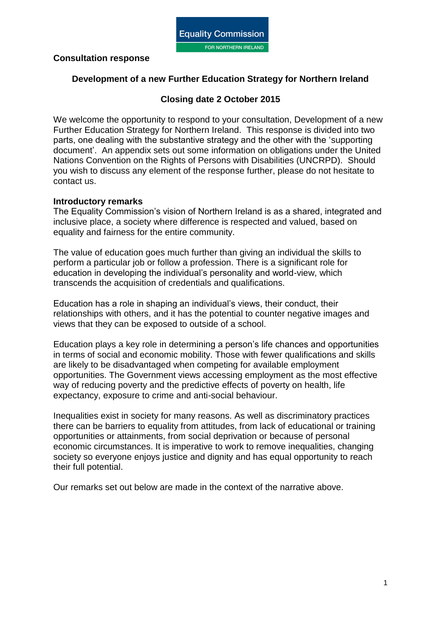

### **Consultation response**

### **Development of a new Further Education Strategy for Northern Ireland**

## **Closing date 2 October 2015**

We welcome the opportunity to respond to your consultation, Development of a new Further Education Strategy for Northern Ireland. This response is divided into two parts, one dealing with the substantive strategy and the other with the 'supporting document'. An appendix sets out some information on obligations under the United Nations Convention on the Rights of Persons with Disabilities (UNCRPD). Should you wish to discuss any element of the response further, please do not hesitate to contact us.

#### **Introductory remarks**

The Equality Commission's vision of Northern Ireland is as a shared, integrated and inclusive place, a society where difference is respected and valued, based on equality and fairness for the entire community.

The value of education goes much further than giving an individual the skills to perform a particular job or follow a profession. There is a significant role for education in developing the individual's personality and world-view, which transcends the acquisition of credentials and qualifications.

Education has a role in shaping an individual's views, their conduct, their relationships with others, and it has the potential to counter negative images and views that they can be exposed to outside of a school.

Education plays a key role in determining a person's life chances and opportunities in terms of social and economic mobility. Those with fewer qualifications and skills are likely to be disadvantaged when competing for available employment opportunities. The Government views accessing employment as the most effective way of reducing poverty and the predictive effects of poverty on health, life expectancy, exposure to crime and anti-social behaviour.

Inequalities exist in society for many reasons. As well as discriminatory practices there can be barriers to equality from attitudes, from lack of educational or training opportunities or attainments, from social deprivation or because of personal economic circumstances. It is imperative to work to remove inequalities, changing society so everyone enjoys justice and dignity and has equal opportunity to reach their full potential.

Our remarks set out below are made in the context of the narrative above.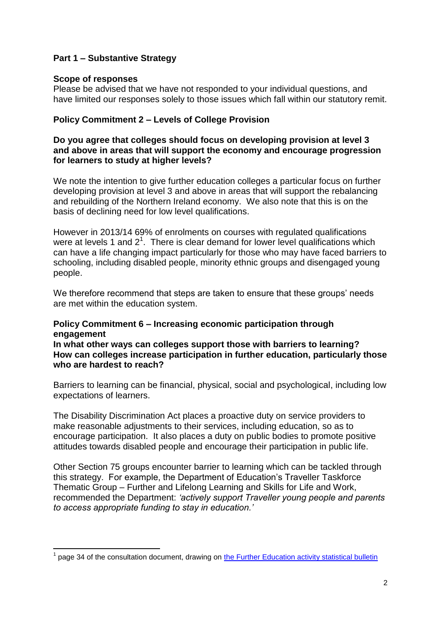# **Part 1 – Substantive Strategy**

#### **Scope of responses**

Please be advised that we have not responded to your individual questions, and have limited our responses solely to those issues which fall within our statutory remit.

## **Policy Commitment 2 – Levels of College Provision**

### **Do you agree that colleges should focus on developing provision at level 3 and above in areas that will support the economy and encourage progression for learners to study at higher levels?**

We note the intention to give further education colleges a particular focus on further developing provision at level 3 and above in areas that will support the rebalancing and rebuilding of the Northern Ireland economy. We also note that this is on the basis of declining need for low level qualifications.

However in 2013/14 69% of enrolments on courses with regulated qualifications were at levels 1 and  $2^1$ . There is clear demand for lower level qualifications which can have a life changing impact particularly for those who may have faced barriers to schooling, including disabled people, minority ethnic groups and disengaged young people.

We therefore recommend that steps are taken to ensure that these groups' needs are met within the education system.

### **Policy Commitment 6 – Increasing economic participation through engagement**

**In what other ways can colleges support those with barriers to learning? How can colleges increase participation in further education, particularly those who are hardest to reach?** 

Barriers to learning can be financial, physical, social and psychological, including low expectations of learners.

The Disability Discrimination Act places a proactive duty on service providers to make reasonable adjustments to their services, including education, so as to encourage participation. It also places a duty on public bodies to promote positive attitudes towards disabled people and encourage their participation in public life.

Other Section 75 groups encounter barrier to learning which can be tackled through this strategy. For example, the Department of Education's Traveller Taskforce Thematic Group – Further and Lifelong Learning and Skills for Life and Work, recommended the Department: *'actively support Traveller young people and parents to access appropriate funding to stay in education.'*

**<sup>.</sup>** 1 page 34 of the consultation document, drawing on [the Further Education activity statistical bulletin](http://www.delni.gov.uk/index/publications/r-and-s-stats/higher-education-enrolments/he-enrolments-2013-2014.htm)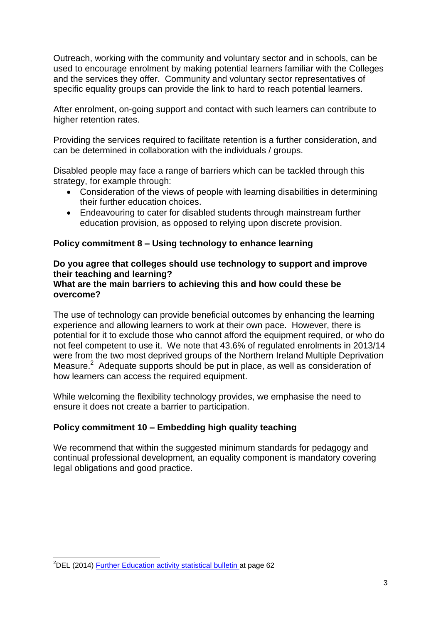Outreach, working with the community and voluntary sector and in schools, can be used to encourage enrolment by making potential learners familiar with the Colleges and the services they offer. Community and voluntary sector representatives of specific equality groups can provide the link to hard to reach potential learners.

After enrolment, on-going support and contact with such learners can contribute to higher retention rates.

Providing the services required to facilitate retention is a further consideration, and can be determined in collaboration with the individuals / groups.

Disabled people may face a range of barriers which can be tackled through this strategy, for example through:

- Consideration of the views of people with learning disabilities in determining their further education choices.
- Endeavouring to cater for disabled students through mainstream further education provision, as opposed to relying upon discrete provision.

# **Policy commitment 8 – Using technology to enhance learning**

# **Do you agree that colleges should use technology to support and improve their teaching and learning?**

### **What are the main barriers to achieving this and how could these be overcome?**

The use of technology can provide beneficial outcomes by enhancing the learning experience and allowing learners to work at their own pace. However, there is potential for it to exclude those who cannot afford the equipment required, or who do not feel competent to use it. We note that 43.6% of regulated enrolments in 2013/14 were from the two most deprived groups of the Northern Ireland Multiple Deprivation Measure.<sup>2</sup> Adequate supports should be put in place, as well as consideration of how learners can access the required equipment.

While welcoming the flexibility technology provides, we emphasise the need to ensure it does not create a barrier to participation.

# **Policy commitment 10 – Embedding high quality teaching**

We recommend that within the suggested minimum standards for pedagogy and continual professional development, an equality component is mandatory covering legal obligations and good practice.

**<sup>.</sup>** <sup>2</sup>DEL (2014) **Further Education activity statistical bulletin** at page 62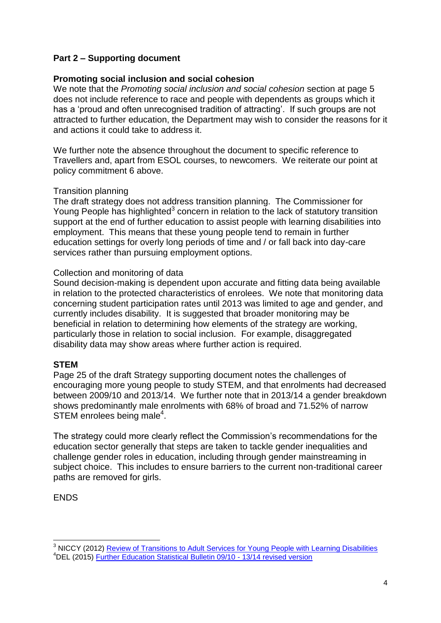# **Part 2 – Supporting document**

### **Promoting social inclusion and social cohesion**

We note that the *Promoting social inclusion and social cohesion* section at page 5 does not include reference to race and people with dependents as groups which it has a 'proud and often unrecognised tradition of attracting'. If such groups are not attracted to further education, the Department may wish to consider the reasons for it and actions it could take to address it.

We further note the absence throughout the document to specific reference to Travellers and, apart from ESOL courses, to newcomers. We reiterate our point at policy commitment 6 above.

#### Transition planning

The draft strategy does not address transition planning. The Commissioner for Young People has highlighted<sup>3</sup> concern in relation to the lack of statutory transition support at the end of further education to assist people with learning disabilities into employment. This means that these young people tend to remain in further education settings for overly long periods of time and / or fall back into day-care services rather than pursuing employment options.

#### Collection and monitoring of data

Sound decision-making is dependent upon accurate and fitting data being available in relation to the protected characteristics of enrolees. We note that monitoring data concerning student participation rates until 2013 was limited to age and gender, and currently includes disability. It is suggested that broader monitoring may be beneficial in relation to determining how elements of the strategy are working, particularly those in relation to social inclusion. For example, disaggregated disability data may show areas where further action is required.

### **STEM**

Page 25 of the draft Strategy supporting document notes the challenges of encouraging more young people to study STEM, and that enrolments had decreased between 2009/10 and 2013/14. We further note that in 2013/14 a gender breakdown shows predominantly male enrolments with 68% of broad and 71.52% of narrow STEM enrolees being male<sup>4</sup>.

The strategy could more clearly reflect the Commission's recommendations for the education sector generally that steps are taken to tackle gender inequalities and challenge gender roles in education, including through gender mainstreaming in subject choice. This includes to ensure barriers to the current non-traditional career paths are removed for girls.

### ENDS

 $\overline{\phantom{a}}$ 

<sup>&</sup>lt;sup>3</sup> NICCY (2012) [Review of Transitions to Adult Services for Young People with Learning Disabilities](http://www.niccy.org/publications/2012/september/13/review-of-transitions-to-adult-services/) <sup>4</sup>DEL (2015) [Further Education Statistical Bulletin 09/10 -](http://www.delni.gov.uk/annex-a-fe-activity-statistical-bulletin-0910-to-1314-december-2014-revised-as-at-24th-april-2015.pdf) 13/14 revised version